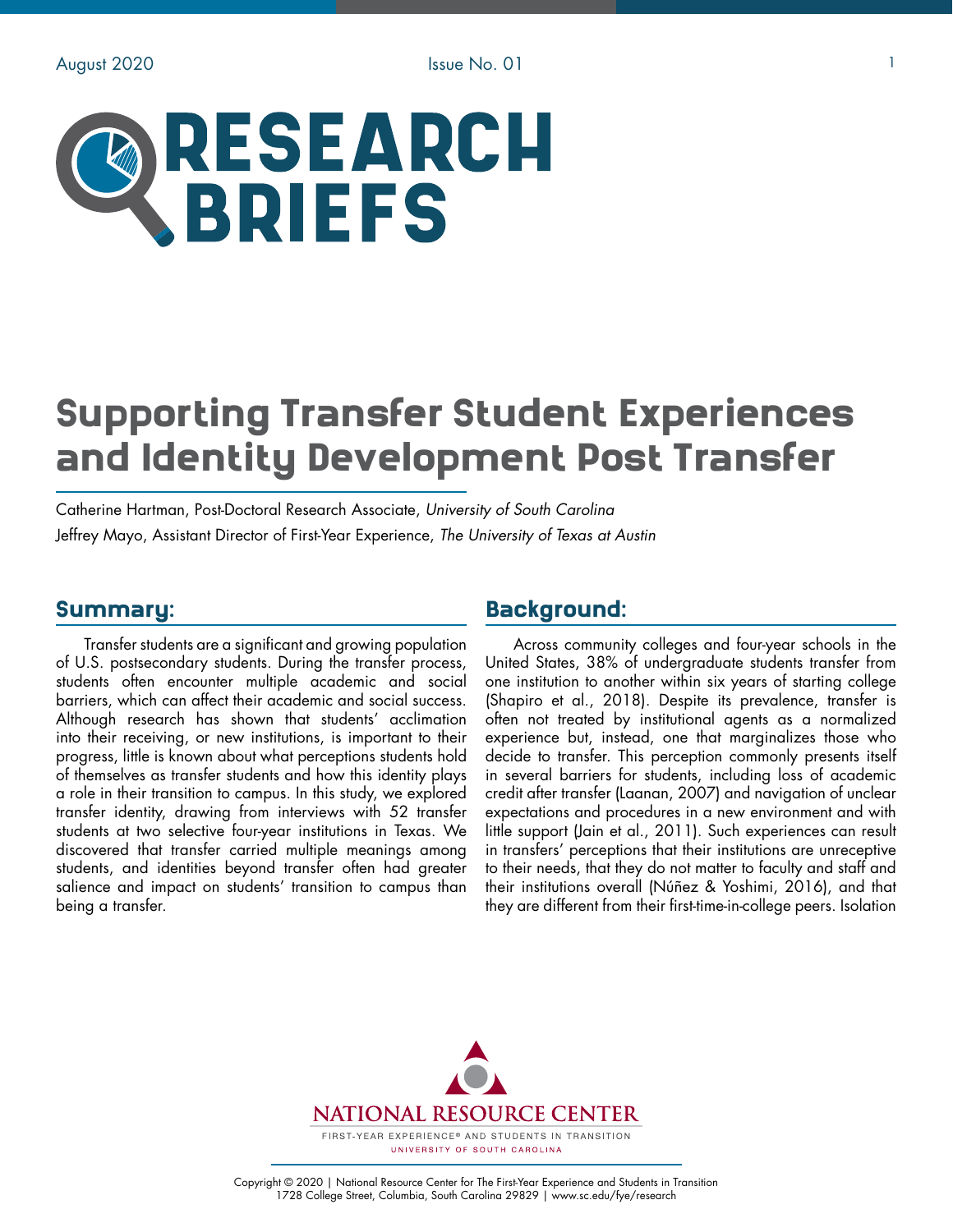# RESEARCH **BRIEFS**

# Supporting Transfer Student Experiences and Identity Development Post Transfer

Catherine Hartman, Post-Doctoral Research Associate, *University of South Carolina* Jeffrey Mayo, Assistant Director of First-Year Experience, *The University of Texas at Austin*

#### Summary:

Transfer students are a significant and growing population of U.S. postsecondary students. During the transfer process, students often encounter multiple academic and social barriers, which can affect their academic and social success. Although research has shown that students' acclimation into their receiving, or new institutions, is important to their progress, little is known about what perceptions students hold of themselves as transfer students and how this identity plays a role in their transition to campus. In this study, we explored transfer identity, drawing from interviews with 52 transfer students at two selective four-year institutions in Texas. We discovered that transfer carried multiple meanings among students, and identities beyond transfer often had greater salience and impact on students' transition to campus than being a transfer.

# Background:

Across community colleges and four-year schools in the United States, 38% of undergraduate students transfer from one institution to another within six years of starting college (Shapiro et al., 2018). Despite its prevalence, transfer is often not treated by institutional agents as a normalized experience but, instead, one that marginalizes those who decide to transfer. This perception commonly presents itself in several barriers for students, including loss of academic credit after transfer (Laanan, 2007) and navigation of unclear expectations and procedures in a new environment and with little support (Jain et al., 2011). Such experiences can result in transfers' perceptions that their institutions are unreceptive to their needs, that they do not matter to faculty and staff and their institutions overall (Núñez & Yoshimi, 2016), and that they are different from their first-time-in-college peers. Isolation

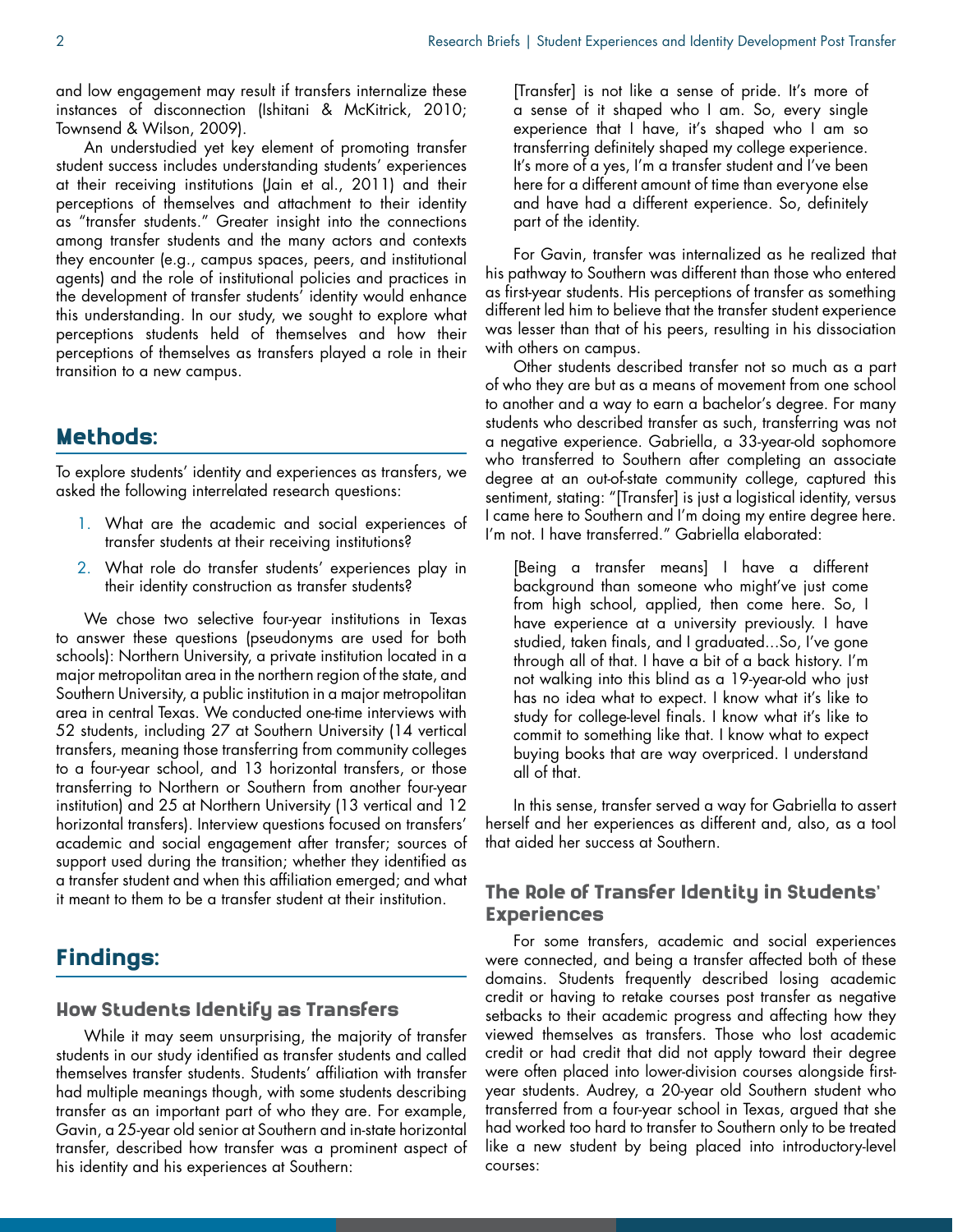and low engagement may result if transfers internalize these instances of disconnection (Ishitani & McKitrick, 2010; Townsend & Wilson, 2009).

An understudied yet key element of promoting transfer student success includes understanding students' experiences at their receiving institutions (Jain et al., 2011) and their perceptions of themselves and attachment to their identity as "transfer students." Greater insight into the connections among transfer students and the many actors and contexts they encounter (e.g., campus spaces, peers, and institutional agents) and the role of institutional policies and practices in the development of transfer students' identity would enhance this understanding. In our study, we sought to explore what perceptions students held of themselves and how their perceptions of themselves as transfers played a role in their transition to a new campus.

#### Methods:

To explore students' identity and experiences as transfers, we asked the following interrelated research questions:

- 1. What are the academic and social experiences of transfer students at their receiving institutions?
- 2. What role do transfer students' experiences play in their identity construction as transfer students?

We chose two selective four-year institutions in Texas to answer these questions (pseudonyms are used for both schools): Northern University, a private institution located in a major metropolitan area in the northern region of the state, and Southern University, a public institution in a major metropolitan area in central Texas. We conducted one-time interviews with 52 students, including 27 at Southern University (14 vertical transfers, meaning those transferring from community colleges to a four-year school, and 13 horizontal transfers, or those transferring to Northern or Southern from another four-year institution) and 25 at Northern University (13 vertical and 12 horizontal transfers). Interview questions focused on transfers' academic and social engagement after transfer; sources of support used during the transition; whether they identified as a transfer student and when this affiliation emerged; and what it meant to them to be a transfer student at their institution.

# Findings:

#### How Students Identify as Transfers

While it may seem unsurprising, the majority of transfer students in our study identified as transfer students and called themselves transfer students. Students' affiliation with transfer had multiple meanings though, with some students describing transfer as an important part of who they are. For example, Gavin, a 25-year old senior at Southern and in-state horizontal transfer, described how transfer was a prominent aspect of his identity and his experiences at Southern:

[Transfer] is not like a sense of pride. It's more of a sense of it shaped who I am. So, every single experience that I have, it's shaped who I am so transferring definitely shaped my college experience. It's more of a yes, I'm a transfer student and I've been here for a different amount of time than everyone else and have had a different experience. So, definitely part of the identity.

For Gavin, transfer was internalized as he realized that his pathway to Southern was different than those who entered as first-year students. His perceptions of transfer as something different led him to believe that the transfer student experience was lesser than that of his peers, resulting in his dissociation with others on campus.

Other students described transfer not so much as a part of who they are but as a means of movement from one school to another and a way to earn a bachelor's degree. For many students who described transfer as such, transferring was not a negative experience. Gabriella, a 33-year-old sophomore who transferred to Southern after completing an associate degree at an out-of-state community college, captured this sentiment, stating: "[Transfer] is just a logistical identity, versus I came here to Southern and I'm doing my entire degree here. I'm not. I have transferred." Gabriella elaborated:

[Being a transfer means] I have a different background than someone who might've just come from high school, applied, then come here. So, I have experience at a university previously. I have studied, taken finals, and I graduated...So, I've gone through all of that. I have a bit of a back history. I'm not walking into this blind as a 19-year-old who just has no idea what to expect. I know what it's like to study for college-level finals. I know what it's like to commit to something like that. I know what to expect buying books that are way overpriced. I understand all of that.

In this sense, transfer served a way for Gabriella to assert herself and her experiences as different and, also, as a tool that aided her success at Southern.

#### The Role of Transfer Identity in Students' Experiences

For some transfers, academic and social experiences were connected, and being a transfer affected both of these domains. Students frequently described losing academic credit or having to retake courses post transfer as negative setbacks to their academic progress and affecting how they viewed themselves as transfers. Those who lost academic credit or had credit that did not apply toward their degree were often placed into lower-division courses alongside firstyear students. Audrey, a 20-year old Southern student who transferred from a four-year school in Texas, argued that she had worked too hard to transfer to Southern only to be treated like a new student by being placed into introductory-level courses: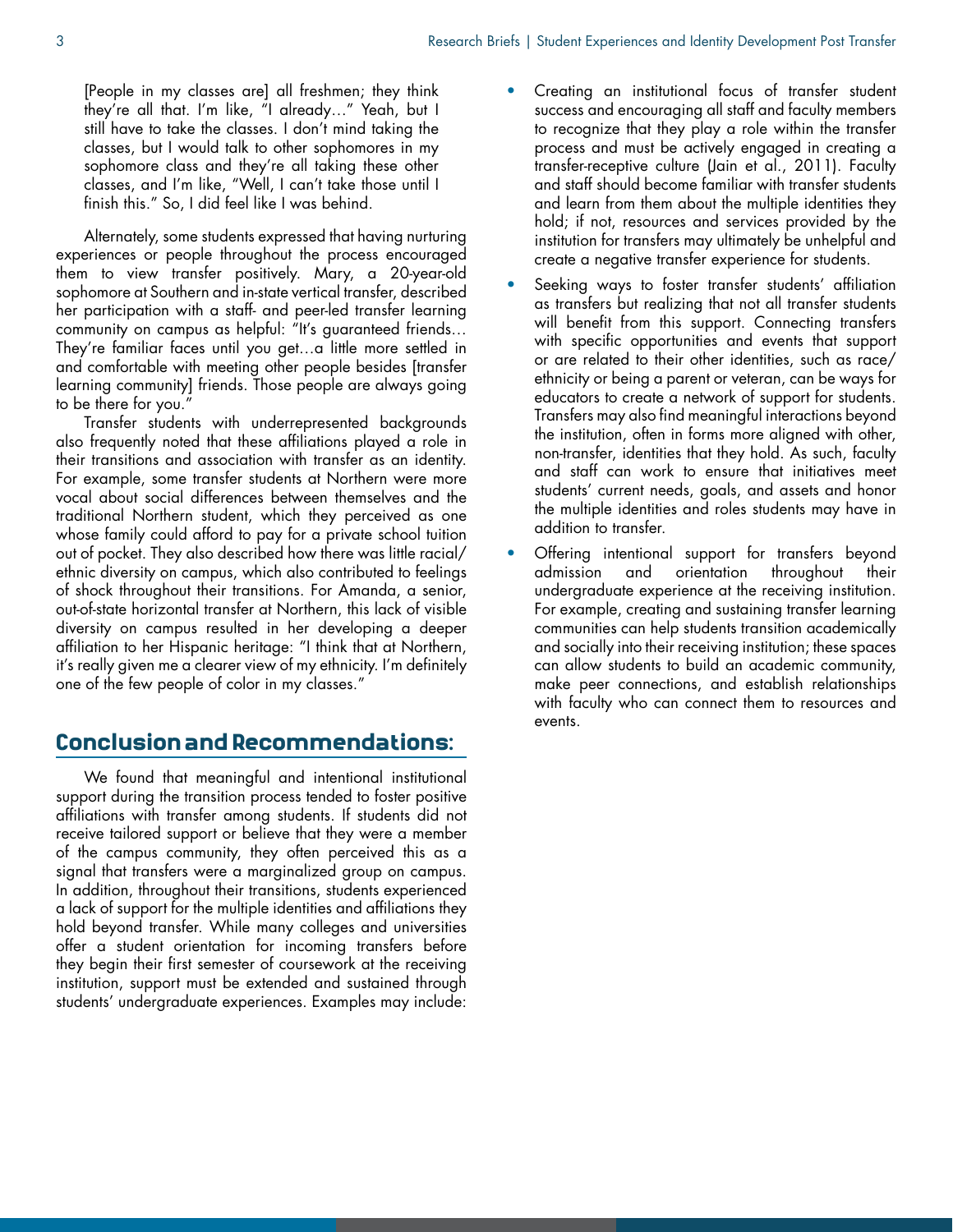[People in my classes are] all freshmen; they think they're all that. I'm like, "I already…" Yeah, but I still have to take the classes. I don't mind taking the classes, but I would talk to other sophomores in my sophomore class and they're all taking these other classes, and I'm like, "Well, I can't take those until I finish this." So, I did feel like I was behind.

Alternately, some students expressed that having nurturing experiences or people throughout the process encouraged them to view transfer positively. Mary, a 20-year-old sophomore at Southern and in-state vertical transfer, described her participation with a staff- and peer-led transfer learning community on campus as helpful: "It's guaranteed friends… They're familiar faces until you get…a little more settled in and comfortable with meeting other people besides [transfer learning community] friends. Those people are always going to be there for you."

Transfer students with underrepresented backgrounds also frequently noted that these affiliations played a role in their transitions and association with transfer as an identity. For example, some transfer students at Northern were more vocal about social differences between themselves and the traditional Northern student, which they perceived as one whose family could afford to pay for a private school tuition out of pocket. They also described how there was little racial/ ethnic diversity on campus, which also contributed to feelings of shock throughout their transitions. For Amanda, a senior, out-of-state horizontal transfer at Northern, this lack of visible diversity on campus resulted in her developing a deeper affiliation to her Hispanic heritage: "I think that at Northern, it's really given me a clearer view of my ethnicity. I'm definitely one of the few people of color in my classes."

# Conclusion and Recommendations:

We found that meaningful and intentional institutional support during the transition process tended to foster positive affiliations with transfer among students. If students did not receive tailored support or believe that they were a member of the campus community, they often perceived this as a signal that transfers were a marginalized group on campus. In addition, throughout their transitions, students experienced a lack of support for the multiple identities and affiliations they hold beyond transfer. While many colleges and universities offer a student orientation for incoming transfers before they begin their first semester of coursework at the receiving institution, support must be extended and sustained through students' undergraduate experiences. Examples may include:

- Creating an institutional focus of transfer student success and encouraging all staff and faculty members to recognize that they play a role within the transfer process and must be actively engaged in creating a transfer-receptive culture (Jain et al., 2011). Faculty and staff should become familiar with transfer students and learn from them about the multiple identities they hold; if not, resources and services provided by the institution for transfers may ultimately be unhelpful and create a negative transfer experience for students.
- Seeking ways to foster transfer students' affiliation as transfers but realizing that not all transfer students will benefit from this support. Connecting transfers with specific opportunities and events that support or are related to their other identities, such as race/ ethnicity or being a parent or veteran, can be ways for educators to create a network of support for students. Transfers may also find meaningful interactions beyond the institution, often in forms more aligned with other, non-transfer, identities that they hold. As such, faculty and staff can work to ensure that initiatives meet students' current needs, goals, and assets and honor the multiple identities and roles students may have in addition to transfer.
- Offering intentional support for transfers beyond admission and orientation throughout their undergraduate experience at the receiving institution. For example, creating and sustaining transfer learning communities can help students transition academically and socially into their receiving institution; these spaces can allow students to build an academic community, make peer connections, and establish relationships with faculty who can connect them to resources and events.